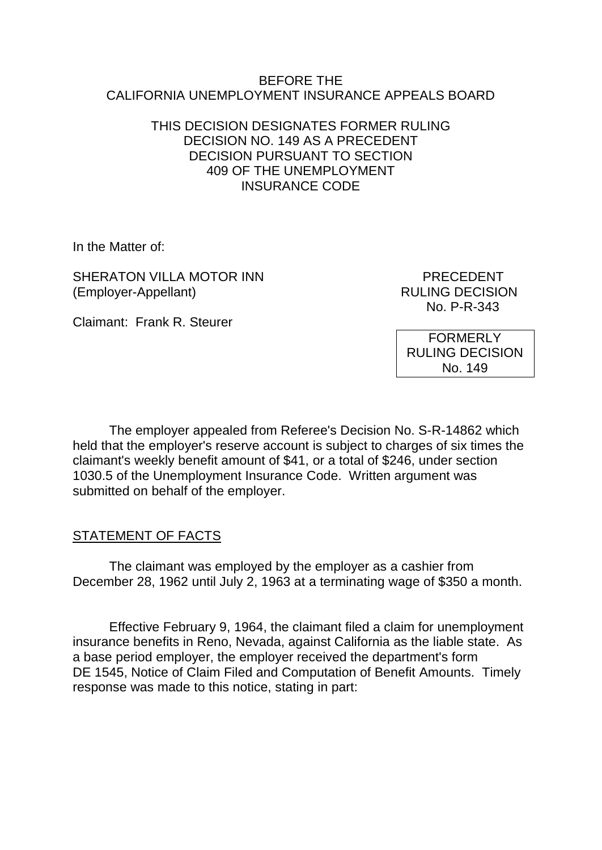### BEFORE THE CALIFORNIA UNEMPLOYMENT INSURANCE APPEALS BOARD

### THIS DECISION DESIGNATES FORMER RULING DECISION NO. 149 AS A PRECEDENT DECISION PURSUANT TO SECTION 409 OF THE UNEMPLOYMENT INSURANCE CODE

In the Matter of:

SHERATON VILLA MOTOR INN PRECEDENT (Employer-Appellant) RULING DECISION

No. P-R-343

Claimant: Frank R. Steurer

FORMERLY RULING DECISION No. 149

The employer appealed from Referee's Decision No. S-R-14862 which held that the employer's reserve account is subject to charges of six times the claimant's weekly benefit amount of \$41, or a total of \$246, under section 1030.5 of the Unemployment Insurance Code. Written argument was submitted on behalf of the employer.

# STATEMENT OF FACTS

The claimant was employed by the employer as a cashier from December 28, 1962 until July 2, 1963 at a terminating wage of \$350 a month.

Effective February 9, 1964, the claimant filed a claim for unemployment insurance benefits in Reno, Nevada, against California as the liable state. As a base period employer, the employer received the department's form DE 1545, Notice of Claim Filed and Computation of Benefit Amounts. Timely response was made to this notice, stating in part: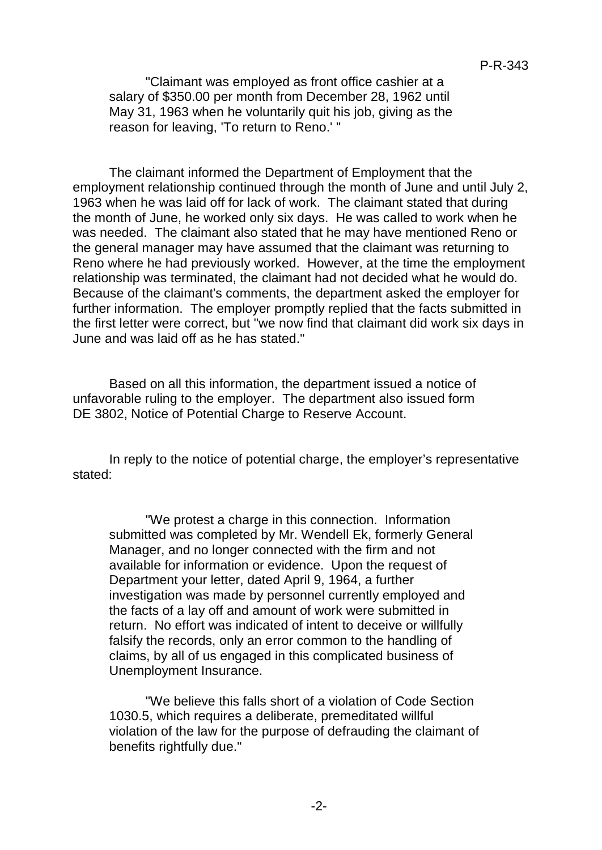"Claimant was employed as front office cashier at a salary of \$350.00 per month from December 28, 1962 until May 31, 1963 when he voluntarily quit his job, giving as the reason for leaving, 'To return to Reno.' "

The claimant informed the Department of Employment that the employment relationship continued through the month of June and until July 2, 1963 when he was laid off for lack of work. The claimant stated that during the month of June, he worked only six days. He was called to work when he was needed. The claimant also stated that he may have mentioned Reno or the general manager may have assumed that the claimant was returning to Reno where he had previously worked. However, at the time the employment relationship was terminated, the claimant had not decided what he would do. Because of the claimant's comments, the department asked the employer for further information. The employer promptly replied that the facts submitted in the first letter were correct, but "we now find that claimant did work six days in June and was laid off as he has stated."

Based on all this information, the department issued a notice of unfavorable ruling to the employer. The department also issued form DE 3802, Notice of Potential Charge to Reserve Account.

In reply to the notice of potential charge, the employer's representative stated:

"We protest a charge in this connection. Information submitted was completed by Mr. Wendell Ek, formerly General Manager, and no longer connected with the firm and not available for information or evidence. Upon the request of Department your letter, dated April 9, 1964, a further investigation was made by personnel currently employed and the facts of a lay off and amount of work were submitted in return. No effort was indicated of intent to deceive or willfully falsify the records, only an error common to the handling of claims, by all of us engaged in this complicated business of Unemployment Insurance.

"We believe this falls short of a violation of Code Section 1030.5, which requires a deliberate, premeditated willful violation of the law for the purpose of defrauding the claimant of benefits rightfully due."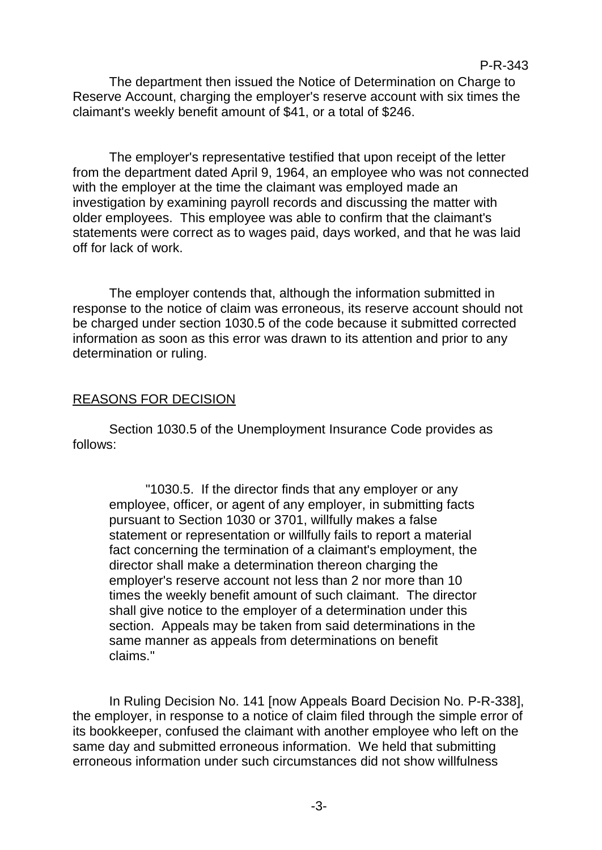The department then issued the Notice of Determination on Charge to Reserve Account, charging the employer's reserve account with six times the claimant's weekly benefit amount of \$41, or a total of \$246.

The employer's representative testified that upon receipt of the letter from the department dated April 9, 1964, an employee who was not connected with the employer at the time the claimant was employed made an investigation by examining payroll records and discussing the matter with older employees. This employee was able to confirm that the claimant's statements were correct as to wages paid, days worked, and that he was laid off for lack of work.

The employer contends that, although the information submitted in response to the notice of claim was erroneous, its reserve account should not be charged under section 1030.5 of the code because it submitted corrected information as soon as this error was drawn to its attention and prior to any determination or ruling.

# REASONS FOR DECISION

Section 1030.5 of the Unemployment Insurance Code provides as follows:

"1030.5. If the director finds that any employer or any employee, officer, or agent of any employer, in submitting facts pursuant to Section 1030 or 3701, willfully makes a false statement or representation or willfully fails to report a material fact concerning the termination of a claimant's employment, the director shall make a determination thereon charging the employer's reserve account not less than 2 nor more than 10 times the weekly benefit amount of such claimant. The director shall give notice to the employer of a determination under this section. Appeals may be taken from said determinations in the same manner as appeals from determinations on benefit claims."

In Ruling Decision No. 141 [now Appeals Board Decision No. P-R-338], the employer, in response to a notice of claim filed through the simple error of its bookkeeper, confused the claimant with another employee who left on the same day and submitted erroneous information. We held that submitting erroneous information under such circumstances did not show willfulness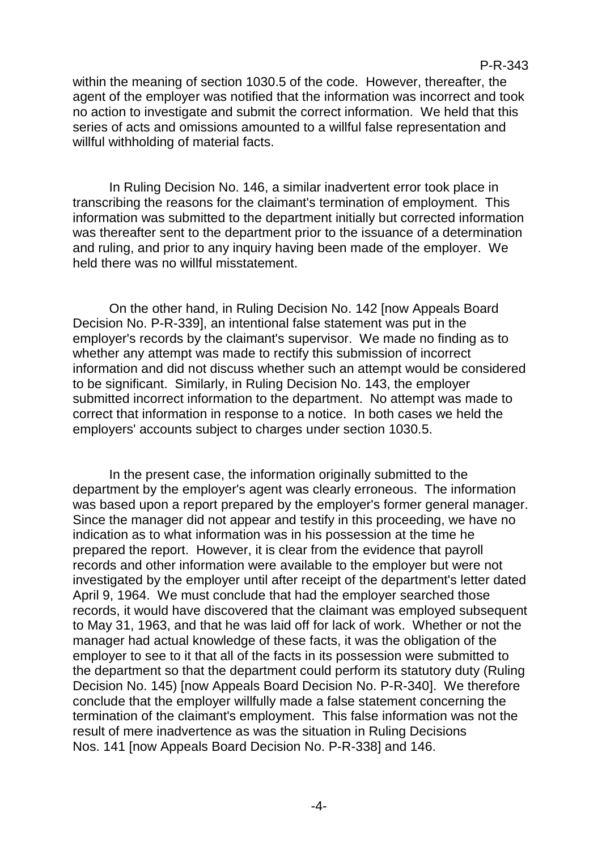#### P-R-343

within the meaning of section 1030.5 of the code. However, thereafter, the agent of the employer was notified that the information was incorrect and took no action to investigate and submit the correct information. We held that this series of acts and omissions amounted to a willful false representation and willful withholding of material facts.

In Ruling Decision No. 146, a similar inadvertent error took place in transcribing the reasons for the claimant's termination of employment. This information was submitted to the department initially but corrected information was thereafter sent to the department prior to the issuance of a determination and ruling, and prior to any inquiry having been made of the employer. We held there was no willful misstatement.

On the other hand, in Ruling Decision No. 142 [now Appeals Board Decision No. P-R-339], an intentional false statement was put in the employer's records by the claimant's supervisor. We made no finding as to whether any attempt was made to rectify this submission of incorrect information and did not discuss whether such an attempt would be considered to be significant. Similarly, in Ruling Decision No. 143, the employer submitted incorrect information to the department. No attempt was made to correct that information in response to a notice. In both cases we held the employers' accounts subject to charges under section 1030.5.

In the present case, the information originally submitted to the department by the employer's agent was clearly erroneous. The information was based upon a report prepared by the employer's former general manager. Since the manager did not appear and testify in this proceeding, we have no indication as to what information was in his possession at the time he prepared the report. However, it is clear from the evidence that payroll records and other information were available to the employer but were not investigated by the employer until after receipt of the department's letter dated April 9, 1964. We must conclude that had the employer searched those records, it would have discovered that the claimant was employed subsequent to May 31, 1963, and that he was laid off for lack of work. Whether or not the manager had actual knowledge of these facts, it was the obligation of the employer to see to it that all of the facts in its possession were submitted to the department so that the department could perform its statutory duty (Ruling Decision No. 145) [now Appeals Board Decision No. P-R-340]. We therefore conclude that the employer willfully made a false statement concerning the termination of the claimant's employment. This false information was not the result of mere inadvertence as was the situation in Ruling Decisions Nos. 141 [now Appeals Board Decision No. P-R-338] and 146.